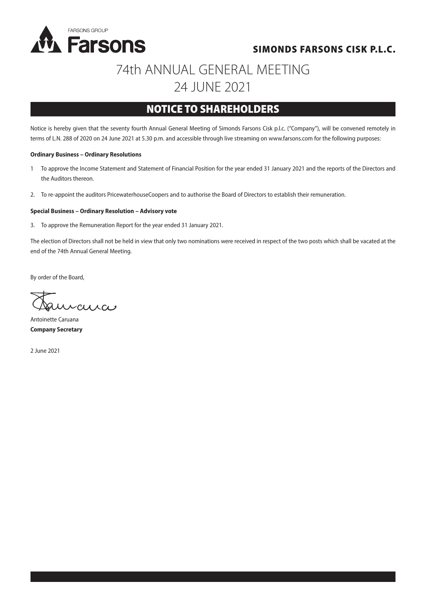

### SIMONDS FARSONS CISK P.L.C.

# 74th ANNUAL GENERAL MEETING 24 JUNE 2021

## NOTICE TO SHAREHOLDERS

Notice is hereby given that the seventy fourth Annual General Meeting of Simonds Farsons Cisk p.l.c. ("Company"), will be convened remotely in terms of L.N. 288 of 2020 on 24 June 2021 at 5.30 p.m. and accessible through live streaming on www.farsons.com for the following purposes:

#### **Ordinary Business – Ordinary Resolutions**

- 1 To approve the Income Statement and Statement of Financial Position for the year ended 31 January 2021 and the reports of the Directors and the Auditors thereon.
- 2. To re-appoint the auditors PricewaterhouseCoopers and to authorise the Board of Directors to establish their remuneration.

#### **Special Business – Ordinary Resolution – Advisory vote**

3. To approve the Remuneration Report for the year ended 31 January 2021.

The election of Directors shall not be held in view that only two nominations were received in respect of the two posts which shall be vacated at the end of the 74th Annual General Meeting.

By order of the Board,

 $C<sub>l</sub>$ 

Antoinette Caruana **Company Secretary**

2 June 2021